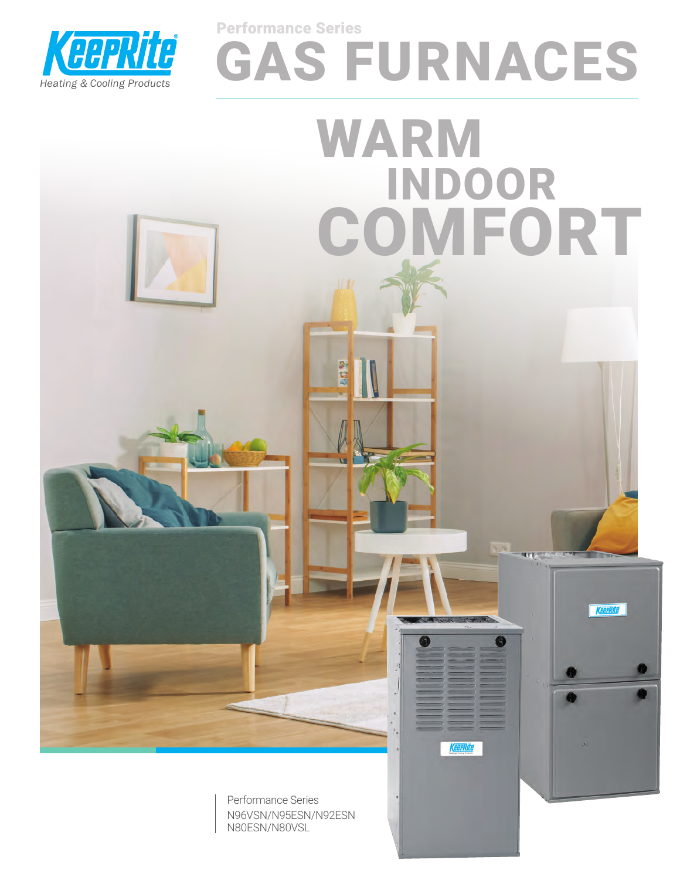

# GAS FURNACES Performance Series

O

**Cerrite** 

INDOOR

COMFORT

Keerkite

WARM

Performance Series N96VSN/N95ESN/N92ESN N80ESN/N80VSL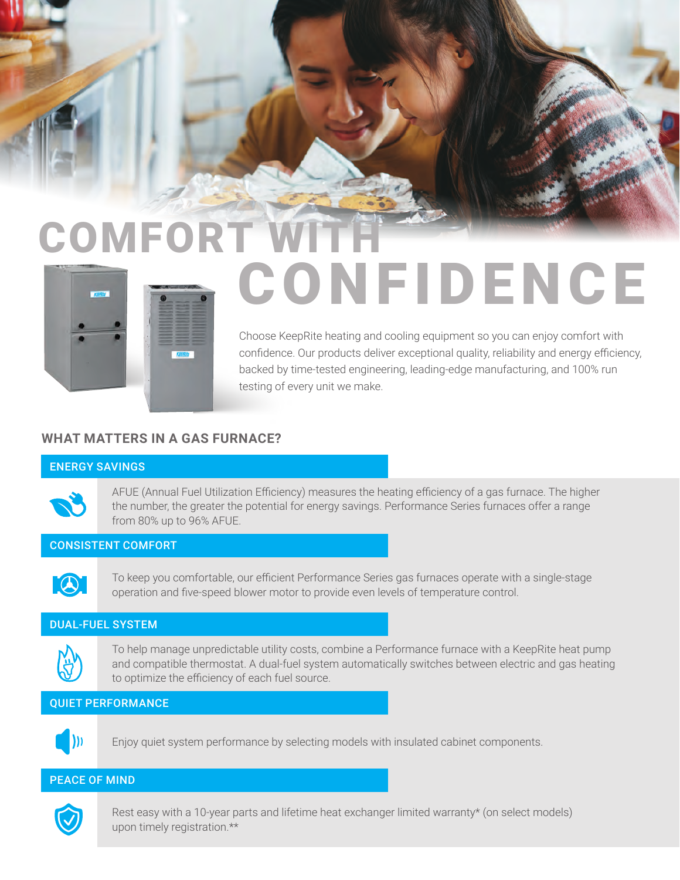# **COMFORT W** CONFIDENCE

Choose KeepRite heating and cooling equipment so you can enjoy comfort with confidence. Our products deliver exceptional quality, reliability and energy efficiency, backed by time-tested engineering, leading-edge manufacturing, and 100% run testing of every unit we make.

### **WHAT MATTERS IN A GAS FURNACE?**

#### ENERGY SAVINGS



AFUE (Annual Fuel Utilization Efficiency) measures the heating efficiency of a gas furnace. The higher the number, the greater the potential for energy savings. Performance Series furnaces offer a range from 80% up to 96% AFUE.

#### CONSISTENT COMFORT



To keep you comfortable, our efficient Performance Series gas furnaces operate with a single-stage operation and five-speed blower motor to provide even levels of temperature control.

#### DUAL-FUEL SYSTEM



To help manage unpredictable utility costs, combine a Performance furnace with a KeepRite heat pump and compatible thermostat. A dual-fuel system automatically switches between electric and gas heating to optimize the efficiency of each fuel source.

#### QUIET PERFORMANCE



Enjoy quiet system performance by selecting models with insulated cabinet components.

#### PEACE OF MIND



Rest easy with a 10-year parts and lifetime heat exchanger limited warranty\* (on select models) upon timely registration.\*\*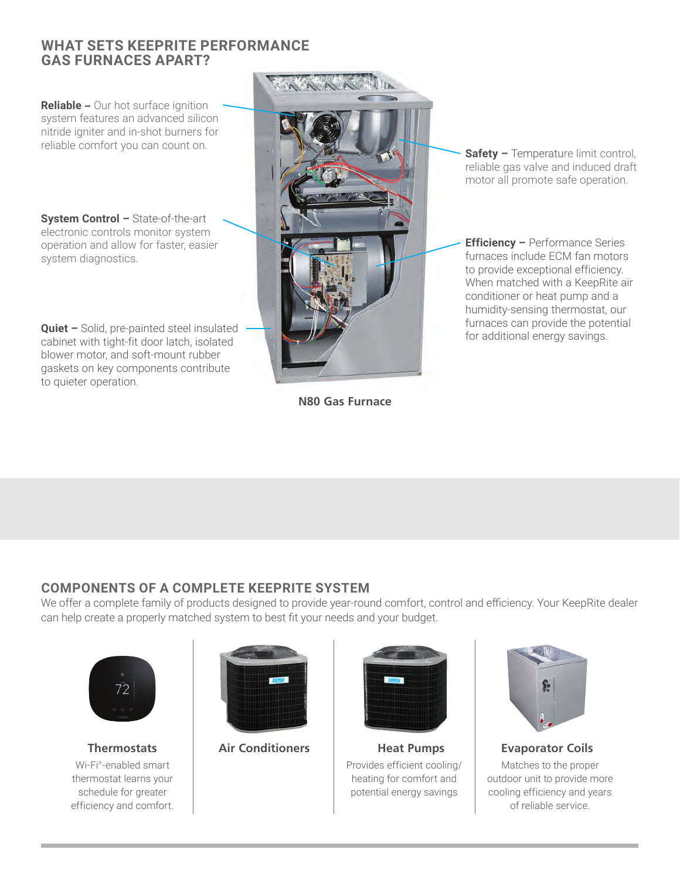#### **WHAT SETS KEEPRITE PERFORMANCE GAS FURNACES APART?**

**Reliable** – Our hot surface ignition system features an advanced silicon nitride igniter and in-shot burners for reliable comfort you can count on.

**System Control –** State-of-the-art electronic controls monitor system operation and allow for faster, easier system diagnostics.

**Quiet –** Solid, pre-painted steel insulated **Contract and Contract and Contract** Solid, pre-painted steel insulated **Contract Contract Solid, pre-painted steel insulated for additional energy savings.** cabinet with tight-fit door latch, isolated blower motor, and soft-mount rubber gaskets on key components contribute to quieter operation.



**N80 Gas Furnace**

**Safety – Temperature limit control,** reliable gas valve and induced draft motor all promote safe operation.

**Efficiency –** Performance Series furnaces include ECM fan motors to provide exceptional efficiency. When matched with a KeepRite air conditioner or heat pump and a humidity-sensing thermostat, our furnaces can provide the potential

## **COMPONENTS OF A COMPLETE KEEPRITE SYSTEM**

We offer a complete family of products designed to provide year-round comfort, control and efficiency. Your KeepRite dealer can help create a properly matched system to best fit your needs and your budget.



Wi-Fi® -enabled smart thermostat learns your schedule for greater efficiency and comfort.





**Thermostats Air Conditioners Heat Pumps Evaporator Coils** Provides efficient cooling/ heating for comfort and potential energy savings



Matches to the proper outdoor unit to provide more cooling efficiency and years of reliable service.